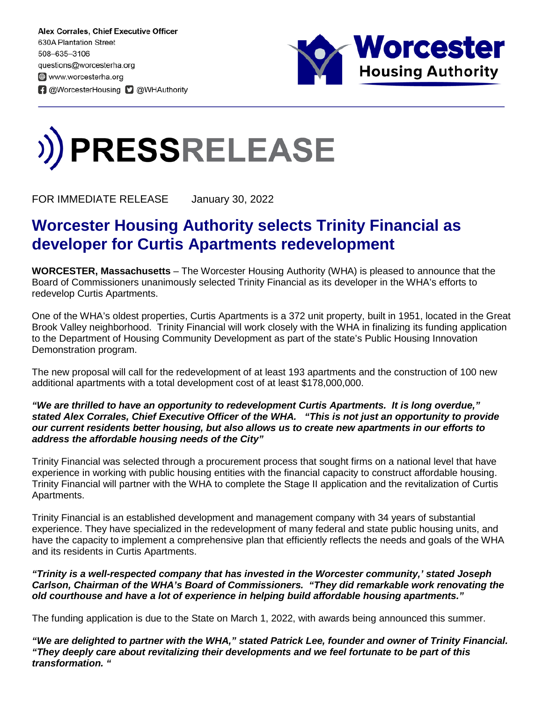Alex Corrales, Chief Executive Officer 630A Plantation Street 508-635-3106 questions@worcesterha.org www.worcesterha.org **f** @WorcesterHousing **D** @WHAuthority



## **PRESSRELEASE**

FOR IMMEDIATE RELEASE January 30, 2022

## **Worcester Housing Authority selects Trinity Financial as developer for Curtis Apartments redevelopment**

**WORCESTER, Massachusetts** – The Worcester Housing Authority (WHA) is pleased to announce that the Board of Commissioners unanimously selected Trinity Financial as its developer in the WHA's efforts to redevelop Curtis Apartments.

One of the WHA's oldest properties, Curtis Apartments is a 372 unit property, built in 1951, located in the Great Brook Valley neighborhood. Trinity Financial will work closely with the WHA in finalizing its funding application to the Department of Housing Community Development as part of the state's Public Housing Innovation Demonstration program.

The new proposal will call for the redevelopment of at least 193 apartments and the construction of 100 new additional apartments with a total development cost of at least \$178,000,000.

## *"We are thrilled to have an opportunity to redevelopment Curtis Apartments. It is long overdue," stated Alex Corrales, Chief Executive Officer of the WHA. "This is not just an opportunity to provide our current residents better housing, but also allows us to create new apartments in our efforts to address the affordable housing needs of the City"*

Trinity Financial was selected through a procurement process that sought firms on a national level that have experience in working with public housing entities with the financial capacity to construct affordable housing. Trinity Financial will partner with the WHA to complete the Stage II application and the revitalization of Curtis Apartments.

Trinity Financial is an established development and management company with 34 years of substantial experience. They have specialized in the redevelopment of many federal and state public housing units, and have the capacity to implement a comprehensive plan that efficiently reflects the needs and goals of the WHA and its residents in Curtis Apartments.

## *"Trinity is a well-respected company that has invested in the Worcester community,' stated Joseph Carlson, Chairman of the WHA's Board of Commissioners. "They did remarkable work renovating the old courthouse and have a lot of experience in helping build affordable housing apartments."*

The funding application is due to the State on March 1, 2022, with awards being announced this summer.

*"We are delighted to partner with the WHA," stated Patrick Lee, founder and owner of Trinity Financial. "They deeply care about revitalizing their developments and we feel fortunate to be part of this transformation. "*